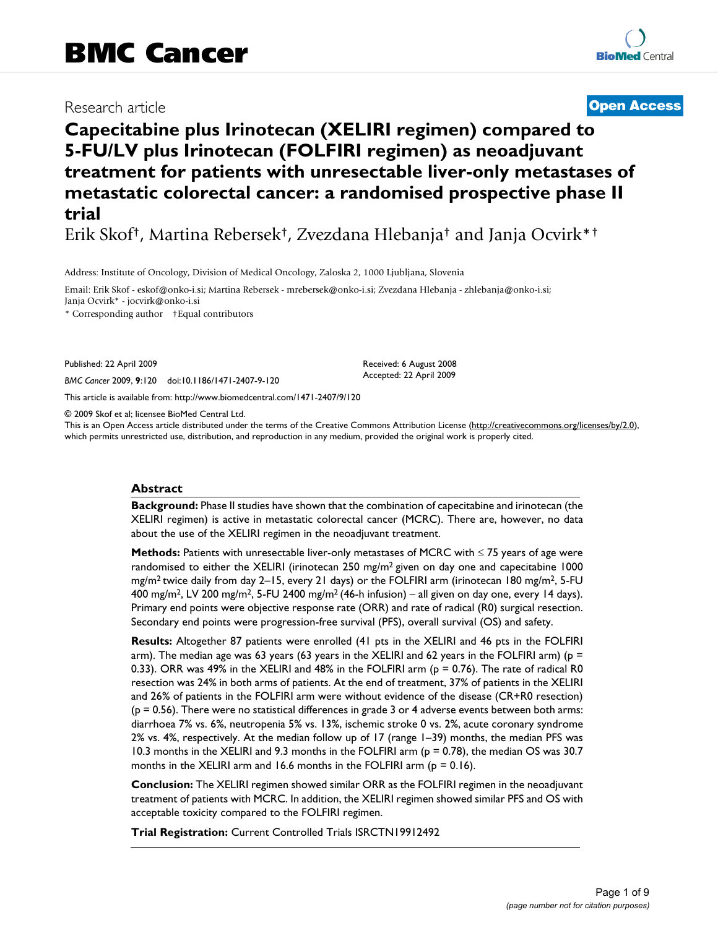# Research article **[Open Access](http://www.biomedcentral.com/info/about/charter/)**

# **Capecitabine plus Irinotecan (XELIRI regimen) compared to 5-FU/LV plus Irinotecan (FOLFIRI regimen) as neoadjuvant treatment for patients with unresectable liver-only metastases of metastatic colorectal cancer: a randomised prospective phase II trial**

Erik Skof†, Martina Rebersek†, Zvezdana Hlebanja† and Janja Ocvirk\*†

Address: Institute of Oncology, Division of Medical Oncology, Zaloska 2, 1000 Ljubljana, Slovenia

Email: Erik Skof - eskof@onko-i.si; Martina Rebersek - mrebersek@onko-i.si; Zvezdana Hlebanja - zhlebanja@onko-i.si; Janja Ocvirk\* - jocvirk@onko-i.si

\* Corresponding author †Equal contributors

Published: 22 April 2009

*BMC Cancer* 2009, **9**:120 doi:10.1186/1471-2407-9-120

[This article is available from: http://www.biomedcentral.com/1471-2407/9/120](http://www.biomedcentral.com/1471-2407/9/120)

© 2009 Skof et al; licensee BioMed Central Ltd.

This is an Open Access article distributed under the terms of the Creative Commons Attribution License [\(http://creativecommons.org/licenses/by/2.0\)](http://creativecommons.org/licenses/by/2.0), which permits unrestricted use, distribution, and reproduction in any medium, provided the original work is properly cited.

Received: 6 August 2008 Accepted: 22 April 2009

#### **Abstract**

**Background:** Phase II studies have shown that the combination of capecitabine and irinotecan (the XELIRI regimen) is active in metastatic colorectal cancer (MCRC). There are, however, no data about the use of the XELIRI regimen in the neoadjuvant treatment.

**Methods:** Patients with unresectable liver-only metastases of MCRC with ≤ 75 years of age were randomised to either the XELIRI (irinotecan 250 mg/m<sup>2</sup> given on day one and capecitabine 1000 mg/m<sup>2</sup> twice daily from day 2–15, every 21 days) or the FOLFIRI arm (irinotecan 180 mg/m<sup>2</sup>, 5-FU 400 mg/m<sup>2</sup>, LV 200 mg/m<sup>2</sup>, 5-FU 2400 mg/m<sup>2</sup> (46-h infusion) – all given on day one, every 14 days). Primary end points were objective response rate (ORR) and rate of radical (R0) surgical resection. Secondary end points were progression-free survival (PFS), overall survival (OS) and safety.

**Results:** Altogether 87 patients were enrolled (41 pts in the XELIRI and 46 pts in the FOLFIRI arm). The median age was 63 years (63 years in the XELIRI and 62 years in the FOLFIRI arm) ( $p =$ 0.33). ORR was 49% in the XELIRI and 48% in the FOLFIRI arm (p = 0.76). The rate of radical R0 resection was 24% in both arms of patients. At the end of treatment, 37% of patients in the XELIRI and 26% of patients in the FOLFIRI arm were without evidence of the disease (CR+R0 resection)  $(p = 0.56)$ . There were no statistical differences in grade 3 or 4 adverse events between both arms: diarrhoea 7% vs. 6%, neutropenia 5% vs. 13%, ischemic stroke 0 vs. 2%, acute coronary syndrome 2% vs. 4%, respectively. At the median follow up of 17 (range 1–39) months, the median PFS was 10.3 months in the XELIRI and 9.3 months in the FOLFIRI arm (p = 0.78), the median OS was 30.7 months in the XELIRI arm and 16.6 months in the FOLFIRI arm ( $p = 0.16$ ).

**Conclusion:** The XELIRI regimen showed similar ORR as the FOLFIRI regimen in the neoadjuvant treatment of patients with MCRC. In addition, the XELIRI regimen showed similar PFS and OS with acceptable toxicity compared to the FOLFIRI regimen.

**Trial Registration:** Current Controlled Trials ISRCTN19912492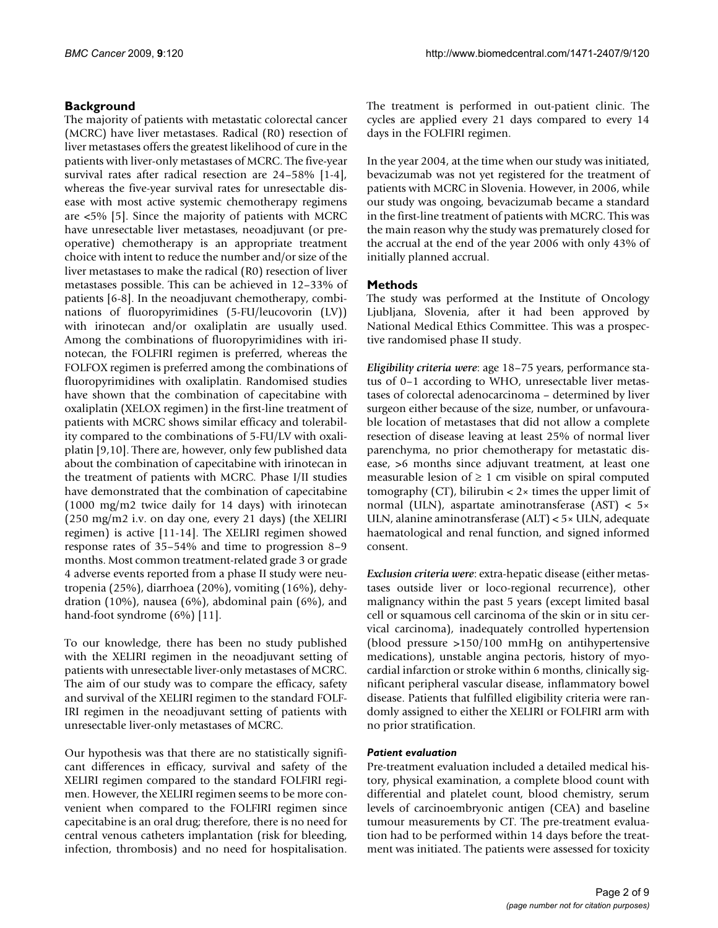# **Background**

The majority of patients with metastatic colorectal cancer (MCRC) have liver metastases. Radical (R0) resection of liver metastases offers the greatest likelihood of cure in the patients with liver-only metastases of MCRC. The five-year survival rates after radical resection are 24–58% [1-4], whereas the five-year survival rates for unresectable disease with most active systemic chemotherapy regimens are <5% [5]. Since the majority of patients with MCRC have unresectable liver metastases, neoadjuvant (or preoperative) chemotherapy is an appropriate treatment choice with intent to reduce the number and/or size of the liver metastases to make the radical (R0) resection of liver metastases possible. This can be achieved in 12–33% of patients [6-8]. In the neoadjuvant chemotherapy, combinations of fluoropyrimidines (5-FU/leucovorin (LV)) with irinotecan and/or oxaliplatin are usually used. Among the combinations of fluoropyrimidines with irinotecan, the FOLFIRI regimen is preferred, whereas the FOLFOX regimen is preferred among the combinations of fluoropyrimidines with oxaliplatin. Randomised studies have shown that the combination of capecitabine with oxaliplatin (XELOX regimen) in the first-line treatment of patients with MCRC shows similar efficacy and tolerability compared to the combinations of 5-FU/LV with oxaliplatin [9,10]. There are, however, only few published data about the combination of capecitabine with irinotecan in the treatment of patients with MCRC. Phase I/II studies have demonstrated that the combination of capecitabine (1000 mg/m2 twice daily for 14 days) with irinotecan (250 mg/m2 i.v. on day one, every 21 days) (the XELIRI regimen) is active [11-14]. The XELIRI regimen showed response rates of 35–54% and time to progression 8–9 months. Most common treatment-related grade 3 or grade 4 adverse events reported from a phase II study were neutropenia (25%), diarrhoea (20%), vomiting (16%), dehydration (10%), nausea (6%), abdominal pain (6%), and hand-foot syndrome (6%) [11].

To our knowledge, there has been no study published with the XELIRI regimen in the neoadjuvant setting of patients with unresectable liver-only metastases of MCRC. The aim of our study was to compare the efficacy, safety and survival of the XELIRI regimen to the standard FOLF-IRI regimen in the neoadjuvant setting of patients with unresectable liver-only metastases of MCRC.

Our hypothesis was that there are no statistically significant differences in efficacy, survival and safety of the XELIRI regimen compared to the standard FOLFIRI regimen. However, the XELIRI regimen seems to be more convenient when compared to the FOLFIRI regimen since capecitabine is an oral drug; therefore, there is no need for central venous catheters implantation (risk for bleeding, infection, thrombosis) and no need for hospitalisation.

The treatment is performed in out-patient clinic. The cycles are applied every 21 days compared to every 14 days in the FOLFIRI regimen.

In the year 2004, at the time when our study was initiated, bevacizumab was not yet registered for the treatment of patients with MCRC in Slovenia. However, in 2006, while our study was ongoing, bevacizumab became a standard in the first-line treatment of patients with MCRC. This was the main reason why the study was prematurely closed for the accrual at the end of the year 2006 with only 43% of initially planned accrual.

## **Methods**

The study was performed at the Institute of Oncology Ljubljana, Slovenia, after it had been approved by National Medical Ethics Committee. This was a prospective randomised phase II study.

*Eligibility criteria were*: age 18–75 years, performance status of 0–1 according to WHO, unresectable liver metastases of colorectal adenocarcinoma – determined by liver surgeon either because of the size, number, or unfavourable location of metastases that did not allow a complete resection of disease leaving at least 25% of normal liver parenchyma, no prior chemotherapy for metastatic disease, >6 months since adjuvant treatment, at least one measurable lesion of  $\geq 1$  cm visible on spiral computed tomography (CT), bilirubin  $\lt 2 \times$  times the upper limit of normal (ULN), aspartate aminotransferase (AST) < 5× ULN, alanine aminotransferase (ALT) < 5× ULN, adequate haematological and renal function, and signed informed consent.

*Exclusion criteria were*: extra-hepatic disease (either metastases outside liver or loco-regional recurrence), other malignancy within the past 5 years (except limited basal cell or squamous cell carcinoma of the skin or in situ cervical carcinoma), inadequately controlled hypertension (blood pressure >150/100 mmHg on antihypertensive medications), unstable angina pectoris, history of myocardial infarction or stroke within 6 months, clinically significant peripheral vascular disease, inflammatory bowel disease. Patients that fulfilled eligibility criteria were randomly assigned to either the XELIRI or FOLFIRI arm with no prior stratification.

## *Patient evaluation*

Pre-treatment evaluation included a detailed medical history, physical examination, a complete blood count with differential and platelet count, blood chemistry, serum levels of carcinoembryonic antigen (CEA) and baseline tumour measurements by CT. The pre-treatment evaluation had to be performed within 14 days before the treatment was initiated. The patients were assessed for toxicity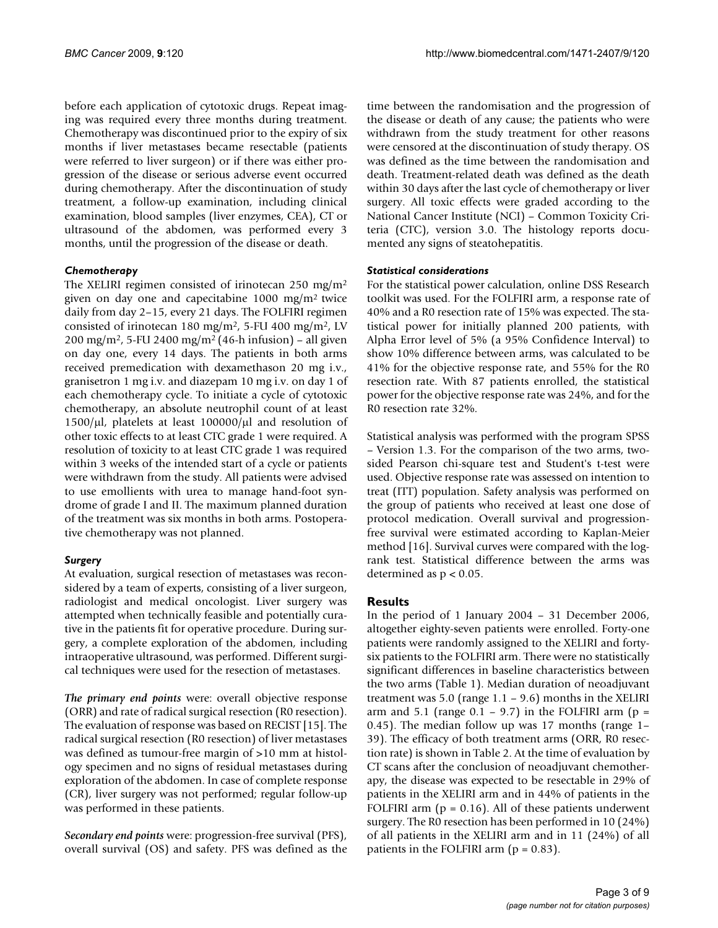before each application of cytotoxic drugs. Repeat imaging was required every three months during treatment. Chemotherapy was discontinued prior to the expiry of six months if liver metastases became resectable (patients were referred to liver surgeon) or if there was either progression of the disease or serious adverse event occurred during chemotherapy. After the discontinuation of study treatment, a follow-up examination, including clinical examination, blood samples (liver enzymes, CEA), CT or ultrasound of the abdomen, was performed every 3 months, until the progression of the disease or death.

#### *Chemotherapy*

The XELIRI regimen consisted of irinotecan 250 mg/m2 given on day one and capecitabine  $1000 \text{ mg/m}^2$  twice daily from day 2–15, every 21 days. The FOLFIRI regimen consisted of irinotecan 180 mg/m<sup>2</sup>, 5-FU 400 mg/m<sup>2</sup>, LV  $200 \text{ mg/m}^2$ , 5-FU 2400 mg/m<sup>2</sup> (46-h infusion) – all given on day one, every 14 days. The patients in both arms received premedication with dexamethason 20 mg i.v., granisetron 1 mg i.v. and diazepam 10 mg i.v. on day 1 of each chemotherapy cycle. To initiate a cycle of cytotoxic chemotherapy, an absolute neutrophil count of at least 1500/μl, platelets at least 100000/μl and resolution of other toxic effects to at least CTC grade 1 were required. A resolution of toxicity to at least CTC grade 1 was required within 3 weeks of the intended start of a cycle or patients were withdrawn from the study. All patients were advised to use emollients with urea to manage hand-foot syndrome of grade I and II. The maximum planned duration of the treatment was six months in both arms. Postoperative chemotherapy was not planned.

## *Surgery*

At evaluation, surgical resection of metastases was reconsidered by a team of experts, consisting of a liver surgeon, radiologist and medical oncologist. Liver surgery was attempted when technically feasible and potentially curative in the patients fit for operative procedure. During surgery, a complete exploration of the abdomen, including intraoperative ultrasound, was performed. Different surgical techniques were used for the resection of metastases.

*The primary end points* were: overall objective response (ORR) and rate of radical surgical resection (R0 resection). The evaluation of response was based on RECIST [15]. The radical surgical resection (R0 resection) of liver metastases was defined as tumour-free margin of >10 mm at histology specimen and no signs of residual metastases during exploration of the abdomen. In case of complete response (CR), liver surgery was not performed; regular follow-up was performed in these patients.

*Secondary end points* were: progression-free survival (PFS), overall survival (OS) and safety. PFS was defined as the time between the randomisation and the progression of the disease or death of any cause; the patients who were withdrawn from the study treatment for other reasons were censored at the discontinuation of study therapy. OS was defined as the time between the randomisation and death. Treatment-related death was defined as the death within 30 days after the last cycle of chemotherapy or liver surgery. All toxic effects were graded according to the National Cancer Institute (NCI) – Common Toxicity Criteria (CTC), version 3.0. The histology reports documented any signs of steatohepatitis.

#### *Statistical considerations*

For the statistical power calculation, online DSS Research toolkit was used. For the FOLFIRI arm, a response rate of 40% and a R0 resection rate of 15% was expected. The statistical power for initially planned 200 patients, with Alpha Error level of 5% (a 95% Confidence Interval) to show 10% difference between arms, was calculated to be 41% for the objective response rate, and 55% for the R0 resection rate. With 87 patients enrolled, the statistical power for the objective response rate was 24%, and for the R0 resection rate 32%.

Statistical analysis was performed with the program SPSS – Version 1.3. For the comparison of the two arms, twosided Pearson chi-square test and Student's t-test were used. Objective response rate was assessed on intention to treat (ITT) population. Safety analysis was performed on the group of patients who received at least one dose of protocol medication. Overall survival and progressionfree survival were estimated according to Kaplan-Meier method [16]. Survival curves were compared with the logrank test. Statistical difference between the arms was determined as  $p < 0.05$ .

## **Results**

In the period of 1 January 2004 – 31 December 2006, altogether eighty-seven patients were enrolled. Forty-one patients were randomly assigned to the XELIRI and fortysix patients to the FOLFIRI arm. There were no statistically significant differences in baseline characteristics between the two arms (Table 1). Median duration of neoadjuvant treatment was  $5.0$  (range  $1.1 - 9.6$ ) months in the XELIRI arm and 5.1 (range  $0.1 - 9.7$ ) in the FOLFIRI arm (p = 0.45). The median follow up was 17 months (range 1– 39). The efficacy of both treatment arms (ORR, R0 resection rate) is shown in Table 2. At the time of evaluation by CT scans after the conclusion of neoadjuvant chemotherapy, the disease was expected to be resectable in 29% of patients in the XELIRI arm and in 44% of patients in the FOLFIRI arm ( $p = 0.16$ ). All of these patients underwent surgery. The R0 resection has been performed in 10 (24%) of all patients in the XELIRI arm and in 11 (24%) of all patients in the FOLFIRI arm  $(p = 0.83)$ .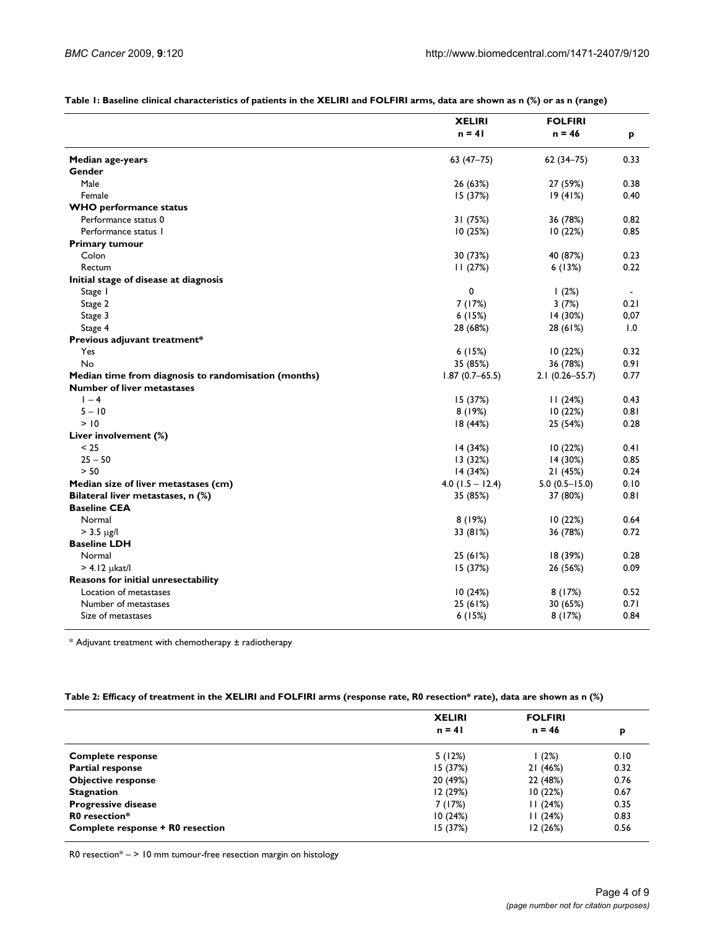|                                                      | <b>XELIRI</b>      | <b>FOLFIRI</b>     |                |
|------------------------------------------------------|--------------------|--------------------|----------------|
|                                                      | $n = 41$           | $n = 46$           | P              |
| <b>Median age-years</b>                              | $63(47-75)$        | $62(34 - 75)$      | 0.33           |
| Gender                                               |                    |                    |                |
| Male                                                 | 26 (63%)           | 27 (59%)           | 0.38           |
| Female                                               | 15 (37%)           | 19(41%)            | 0.40           |
| <b>WHO</b> performance status                        |                    |                    |                |
| Performance status 0                                 | 31 (75%)           | 36 (78%)           | 0.82           |
| Performance status 1                                 | 10(25%)            | 10(22%)            | 0.85           |
| <b>Primary tumour</b>                                |                    |                    |                |
| Colon                                                | 30 (73%)           | 40 (87%)           | 0.23           |
| Rectum                                               | 11(27%)            | 6(13%)             | 0.22           |
| Initial stage of disease at diagnosis                |                    |                    |                |
| Stage I                                              | 0                  | 1(2%)              | $\blacksquare$ |
| Stage 2                                              | 7 (17%)            | 3(7%)              | 0.21           |
| Stage 3                                              | 6(15%)             | 14 (30%)           | 0,07           |
| Stage 4                                              | 28 (68%)           | 28 (61%)           | 1.0            |
| Previous adjuvant treatment*                         |                    |                    |                |
| Yes                                                  | 6(15%)             | 10(22%)            | 0.32           |
| No                                                   | 35 (85%)           | 36 (78%)           | 0.91           |
| Median time from diagnosis to randomisation (months) | $1.87(0.7 - 65.5)$ | $2.1(0.26 - 55.7)$ | 0.77           |
| <b>Number of liver metastases</b>                    |                    |                    |                |
| $1 - 4$                                              | 15 (37%)           | 11(24%)            | 0.43           |
| $5 - 10$                                             | 8(19%)             | 10 (22%)           | 0.81           |
| > 10                                                 | 18(44%)            | 25 (54%)           | 0.28           |
| Liver involvement (%)                                |                    |                    |                |
| < 25                                                 | 14(34%)            | 10(22%)            | 0.41           |
| $25 - 50$                                            | 13 (32%)           | 14 (30%)           | 0.85           |
| > 50                                                 | 14(34%)            | 21 (45%)           | 0.24           |
| Median size of liver metastases (cm)                 | $4.0$ (1.5 - 12.4) | $5.0(0.5 - 15.0)$  | 0.10           |
| Bilateral liver metastases, n (%)                    | 35 (85%)           | 37 (80%)           | 0.81           |
| <b>Baseline CEA</b>                                  |                    |                    |                |
| Normal                                               | 8(19%)             | 10(22%)            | 0.64           |
| $> 3.5 \text{ kg/l}$                                 | 33 (81%)           | 36 (78%)           | 0.72           |
| <b>Baseline LDH</b>                                  |                    |                    |                |
| Normal                                               | 25 (61%)           | 18 (39%)           | 0.28           |
| $> 4.12$ µkat/l                                      | 15 (37%)           | 26 (56%)           | 0.09           |
| <b>Reasons for initial unresectability</b>           |                    |                    |                |
| Location of metastases                               | 10(24%)            | 8(17%)             | 0.52           |
| Number of metastases                                 | 25 (61%)           | 30 (65%)           | 0.71           |
| Size of metastases                                   | 6(15%)             | 8(17%)             | 0.84           |
|                                                      |                    |                    |                |

**Table 1: Baseline clinical characteristics of patients in the XELIRI and FOLFIRI arms, data are shown as n (%) or as n (range)**

\* Adjuvant treatment with chemotherapy ± radiotherapy

#### **Table 2: Efficacy of treatment in the XELIRI and FOLFIRI arms (response rate, R0 resection\* rate), data are shown as n (%)**

|                                  | <b>XELIRI</b><br>$n = 41$ | <b>FOLFIRI</b><br>$n = 46$ | p    |
|----------------------------------|---------------------------|----------------------------|------|
|                                  |                           |                            |      |
| <b>Complete response</b>         | 5(12%)                    | (2%)                       | 0.10 |
| <b>Partial response</b>          | 15(37%)                   | 21(46%)                    | 0.32 |
| <b>Objective response</b>        | 20 (49%)                  | 22 (48%)                   | 0.76 |
| <b>Stagnation</b>                | 12(29%)                   | 10(22%)                    | 0.67 |
| <b>Progressive disease</b>       | 7 (17%)                   | 11(24%)                    | 0.35 |
| R0 resection*                    | 10(24%)                   | 11(24%)                    | 0.83 |
| Complete response + R0 resection | 15(37%)                   | 12(26%)                    | 0.56 |

R0 resection\* – > 10 mm tumour-free resection margin on histology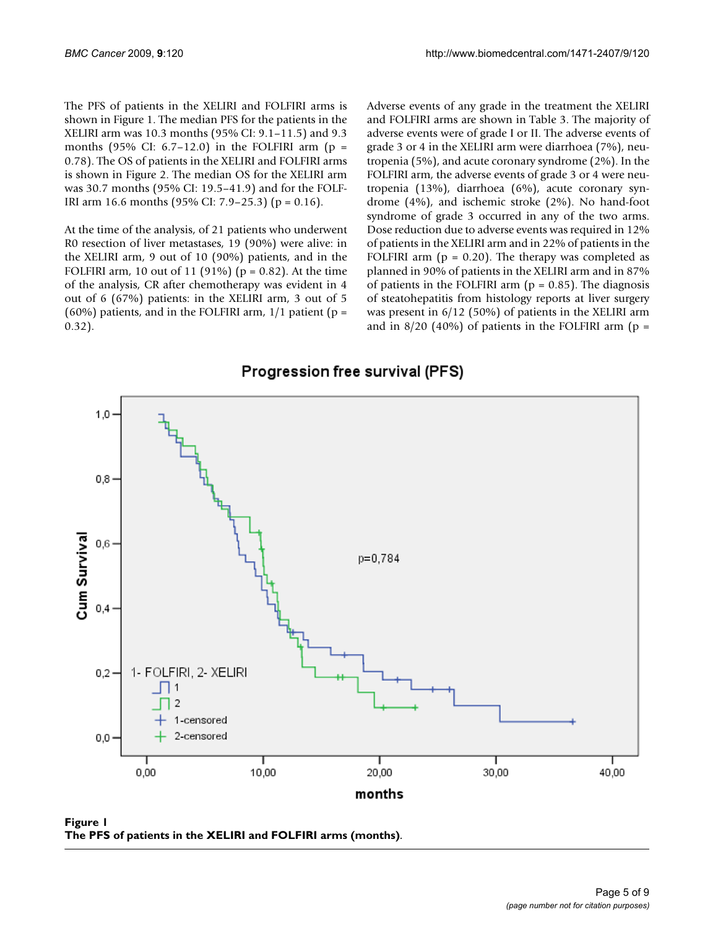The PFS of patients in the XELIRI and FOLFIRI arms is shown in Figure 1. The median PFS for the patients in the XELIRI arm was 10.3 months (95% CI: 9.1–11.5) and 9.3 months (95% CI: 6.7-12.0) in the FOLFIRI arm ( $p =$ 0.78). The OS of patients in the XELIRI and FOLFIRI arms is shown in Figure 2. The median OS for the XELIRI arm was 30.7 months (95% CI: 19.5–41.9) and for the FOLF-IRI arm 16.6 months (95% CI: 7.9–25.3) (p = 0.16).

At the time of the analysis, of 21 patients who underwent R0 resection of liver metastases, 19 (90%) were alive: in the XELIRI arm, 9 out of 10 (90%) patients, and in the FOLFIRI arm, 10 out of 11 (91%) ( $p = 0.82$ ). At the time of the analysis, CR after chemotherapy was evident in 4 out of 6 (67%) patients: in the XELIRI arm, 3 out of 5 (60%) patients, and in the FOLFIRI arm,  $1/1$  patient (p = 0.32).

Adverse events of any grade in the treatment the XELIRI and FOLFIRI arms are shown in Table 3. The majority of adverse events were of grade I or II. The adverse events of grade 3 or 4 in the XELIRI arm were diarrhoea (7%), neutropenia (5%), and acute coronary syndrome (2%). In the FOLFIRI arm, the adverse events of grade 3 or 4 were neutropenia (13%), diarrhoea (6%), acute coronary syndrome (4%), and ischemic stroke (2%). No hand-foot syndrome of grade 3 occurred in any of the two arms. Dose reduction due to adverse events was required in 12% of patients in the XELIRI arm and in 22% of patients in the FOLFIRI arm  $(p = 0.20)$ . The therapy was completed as planned in 90% of patients in the XELIRI arm and in 87% of patients in the FOLFIRI arm ( $p = 0.85$ ). The diagnosis of steatohepatitis from histology reports at liver surgery was present in 6/12 (50%) of patients in the XELIRI arm and in  $8/20$  (40%) of patients in the FOLFIRI arm (p =



# Progression free survival (PFS)

Figure 1 **The PFS of patients in the XELIRI and FOLFIRI arms (months)**.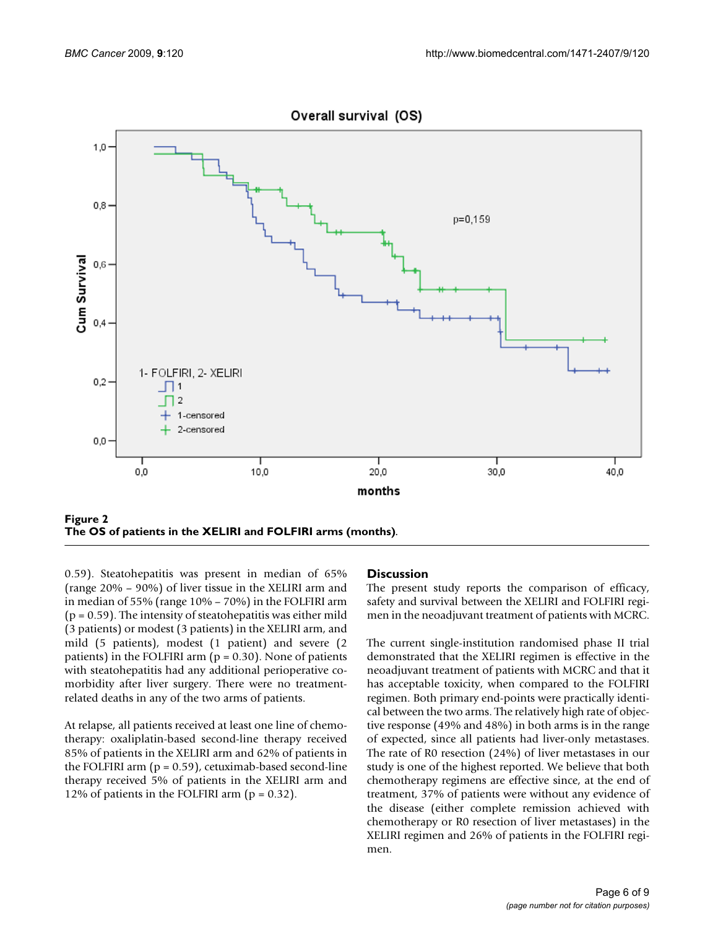

**The OS of patients in the XELIRI and FOLFIRI arms (months)**.

0.59). Steatohepatitis was present in median of 65% (range 20% – 90%) of liver tissue in the XELIRI arm and in median of 55% (range 10% – 70%) in the FOLFIRI arm  $(p = 0.59)$ . The intensity of steatohepatitis was either mild (3 patients) or modest (3 patients) in the XELIRI arm, and mild (5 patients), modest (1 patient) and severe (2 patients) in the FOLFIRI arm ( $p = 0.30$ ). None of patients with steatohepatitis had any additional perioperative comorbidity after liver surgery. There were no treatmentrelated deaths in any of the two arms of patients.

At relapse, all patients received at least one line of chemotherapy: oxaliplatin-based second-line therapy received 85% of patients in the XELIRI arm and 62% of patients in the FOLFIRI arm  $(p = 0.59)$ , cetuximab-based second-line therapy received 5% of patients in the XELIRI arm and 12% of patients in the FOLFIRI arm  $(p = 0.32)$ .

#### **Discussion**

The present study reports the comparison of efficacy, safety and survival between the XELIRI and FOLFIRI regimen in the neoadjuvant treatment of patients with MCRC.

The current single-institution randomised phase II trial demonstrated that the XELIRI regimen is effective in the neoadjuvant treatment of patients with MCRC and that it has acceptable toxicity, when compared to the FOLFIRI regimen. Both primary end-points were practically identical between the two arms. The relatively high rate of objective response (49% and 48%) in both arms is in the range of expected, since all patients had liver-only metastases. The rate of R0 resection (24%) of liver metastases in our study is one of the highest reported. We believe that both chemotherapy regimens are effective since, at the end of treatment, 37% of patients were without any evidence of the disease (either complete remission achieved with chemotherapy or R0 resection of liver metastases) in the XELIRI regimen and 26% of patients in the FOLFIRI regimen.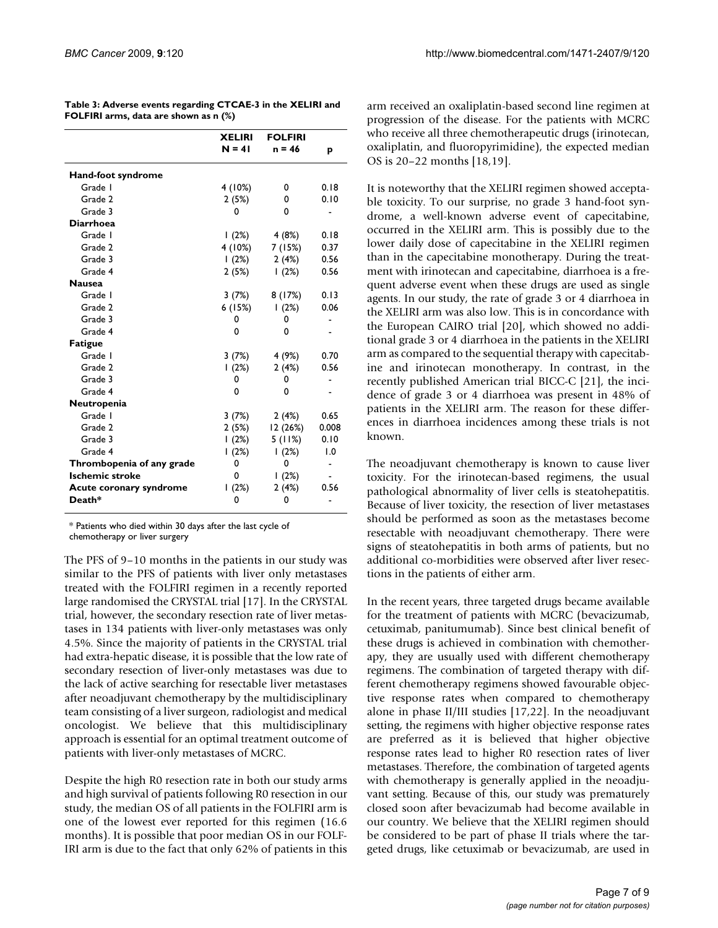|                           | <b>XELIRI</b><br>$N = 41$ | <b>FOLFIRI</b><br>n = 46 | p                            |  |
|---------------------------|---------------------------|--------------------------|------------------------------|--|
| Hand-foot syndrome        |                           |                          |                              |  |
| Grade I                   | 4 (10%)                   | 0                        | 0.18                         |  |
| Grade 2                   | 2(5%)                     | 0                        | 0.10                         |  |
| Grade 3                   | 0                         | 0                        |                              |  |
| <b>Diarrhoea</b>          |                           |                          |                              |  |
| Grade I                   | (2%)                      | 4 (8%)                   | 0.18                         |  |
| Grade 2                   | 4 (10%)                   | 7 (15%)                  | 0.37                         |  |
| Grade 3                   | (2%)                      | 2(4%)                    | 0.56                         |  |
| Grade 4                   | 2(5%)                     | (2%)                     | 0.56                         |  |
| <b>Nausea</b>             |                           |                          |                              |  |
| Grade I                   | 3 (7%)                    | 8(17%)                   | 0.13                         |  |
| Grade 2                   | 6 (15%)                   | (2%)                     | 0.06                         |  |
| Grade 3                   | 0                         | 0                        |                              |  |
| Grade 4                   | 0                         | 0                        |                              |  |
| <b>Fatigue</b>            |                           |                          |                              |  |
| Grade I                   | 3 (7%)                    | 4 (9%)                   | 0.70                         |  |
| Grade 2                   | 1(2%)                     | 2(4%)                    | 0.56                         |  |
| Grade 3                   | 0                         | 0                        |                              |  |
| Grade 4                   | 0                         | 0                        |                              |  |
| Neutropenia               |                           |                          |                              |  |
| Grade I                   | 3(7%)                     | 2(4%)                    | 0.65                         |  |
| Grade 2                   | 2 (5%)                    | 12 (26%)                 | 0.008                        |  |
| Grade 3                   | (2%)                      | 5(11%)                   | 0.10                         |  |
| Grade 4                   | 1(2%)                     | 1(2%)                    | 1.0                          |  |
| Thrombopenia of any grade | 0                         | 0                        | $\qquad \qquad \blacksquare$ |  |
| <b>Ischemic stroke</b>    | 0                         | 1(2%)                    | $\blacksquare$               |  |
| Acute coronary syndrome   | 1(2%)                     | 2(4%)                    | 0.56                         |  |
| Death*                    | 0                         | 0                        |                              |  |

| Table 3: Adverse events regarding CTCAE-3 in the XELIRI and |
|-------------------------------------------------------------|
| FOLFIRI arms, data are shown as n (%)                       |

\* Patients who died within 30 days after the last cycle of chemotherapy or liver surgery

The PFS of 9–10 months in the patients in our study was similar to the PFS of patients with liver only metastases treated with the FOLFIRI regimen in a recently reported large randomised the CRYSTAL trial [17]. In the CRYSTAL trial, however, the secondary resection rate of liver metastases in 134 patients with liver-only metastases was only 4.5%. Since the majority of patients in the CRYSTAL trial had extra-hepatic disease, it is possible that the low rate of secondary resection of liver-only metastases was due to the lack of active searching for resectable liver metastases after neoadjuvant chemotherapy by the multidisciplinary team consisting of a liver surgeon, radiologist and medical oncologist. We believe that this multidisciplinary approach is essential for an optimal treatment outcome of patients with liver-only metastases of MCRC.

Despite the high R0 resection rate in both our study arms and high survival of patients following R0 resection in our study, the median OS of all patients in the FOLFIRI arm is one of the lowest ever reported for this regimen (16.6 months). It is possible that poor median OS in our FOLF-IRI arm is due to the fact that only 62% of patients in this arm received an oxaliplatin-based second line regimen at progression of the disease. For the patients with MCRC who receive all three chemotherapeutic drugs (irinotecan, oxaliplatin, and fluoropyrimidine), the expected median OS is 20–22 months [18,19].

It is noteworthy that the XELIRI regimen showed acceptable toxicity. To our surprise, no grade 3 hand-foot syndrome, a well-known adverse event of capecitabine, occurred in the XELIRI arm. This is possibly due to the lower daily dose of capecitabine in the XELIRI regimen than in the capecitabine monotherapy. During the treatment with irinotecan and capecitabine, diarrhoea is a frequent adverse event when these drugs are used as single agents. In our study, the rate of grade 3 or 4 diarrhoea in the XELIRI arm was also low. This is in concordance with the European CAIRO trial [20], which showed no additional grade 3 or 4 diarrhoea in the patients in the XELIRI arm as compared to the sequential therapy with capecitabine and irinotecan monotherapy. In contrast, in the recently published American trial BICC-C [21], the incidence of grade 3 or 4 diarrhoea was present in 48% of patients in the XELIRI arm. The reason for these differences in diarrhoea incidences among these trials is not known.

The neoadjuvant chemotherapy is known to cause liver toxicity. For the irinotecan-based regimens, the usual pathological abnormality of liver cells is steatohepatitis. Because of liver toxicity, the resection of liver metastases should be performed as soon as the metastases become resectable with neoadjuvant chemotherapy. There were signs of steatohepatitis in both arms of patients, but no additional co-morbidities were observed after liver resections in the patients of either arm.

In the recent years, three targeted drugs became available for the treatment of patients with MCRC (bevacizumab, cetuximab, panitumumab). Since best clinical benefit of these drugs is achieved in combination with chemotherapy, they are usually used with different chemotherapy regimens. The combination of targeted therapy with different chemotherapy regimens showed favourable objective response rates when compared to chemotherapy alone in phase II/III studies [17,22]. In the neoadjuvant setting, the regimens with higher objective response rates are preferred as it is believed that higher objective response rates lead to higher R0 resection rates of liver metastases. Therefore, the combination of targeted agents with chemotherapy is generally applied in the neoadjuvant setting. Because of this, our study was prematurely closed soon after bevacizumab had become available in our country. We believe that the XELIRI regimen should be considered to be part of phase II trials where the targeted drugs, like cetuximab or bevacizumab, are used in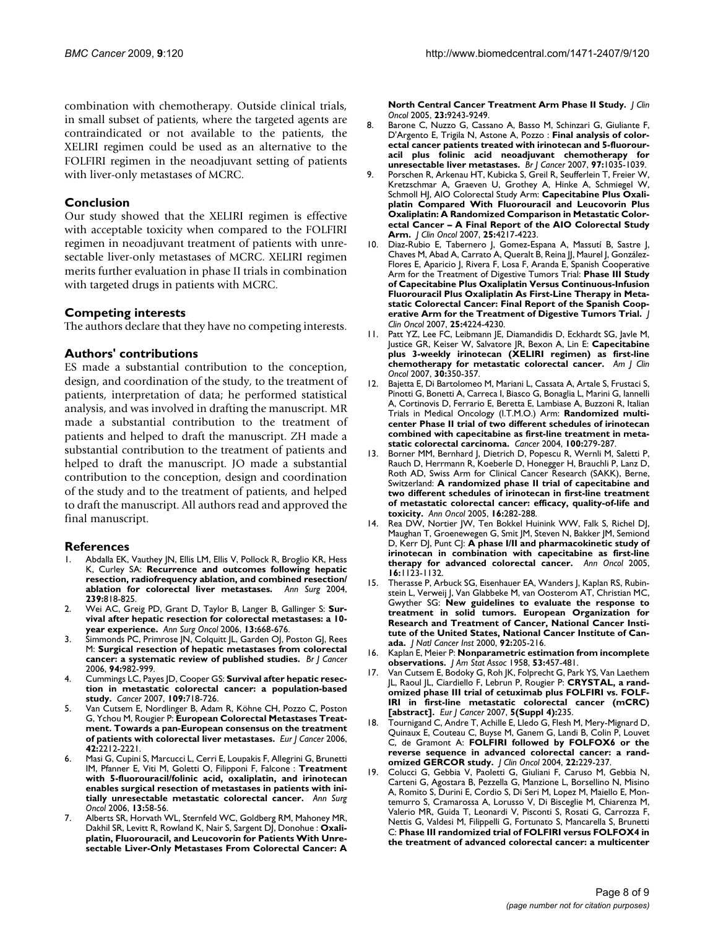combination with chemotherapy. Outside clinical trials, in small subset of patients, where the targeted agents are contraindicated or not available to the patients, the XELIRI regimen could be used as an alternative to the FOLFIRI regimen in the neoadjuvant setting of patients with liver-only metastases of MCRC.

#### **Conclusion**

Our study showed that the XELIRI regimen is effective with acceptable toxicity when compared to the FOLFIRI regimen in neoadjuvant treatment of patients with unresectable liver-only metastases of MCRC. XELIRI regimen merits further evaluation in phase II trials in combination with targeted drugs in patients with MCRC.

#### **Competing interests**

The authors declare that they have no competing interests.

#### **Authors' contributions**

ES made a substantial contribution to the conception, design, and coordination of the study, to the treatment of patients, interpretation of data; he performed statistical analysis, and was involved in drafting the manuscript. MR made a substantial contribution to the treatment of patients and helped to draft the manuscript. ZH made a substantial contribution to the treatment of patients and helped to draft the manuscript. JO made a substantial contribution to the conception, design and coordination of the study and to the treatment of patients, and helped to draft the manuscript. All authors read and approved the final manuscript.

#### **References**

- Abdalla EK, Vauthey JN, Ellis LM, Ellis V, Pollock R, Broglio KR, Hess K, Curley SA: **[Recurrence and outcomes following hepatic](http://www.ncbi.nlm.nih.gov/entrez/query.fcgi?cmd=Retrieve&db=PubMed&dopt=Abstract&list_uids=15166961) [resection, radiofrequency ablation, and combined resection/](http://www.ncbi.nlm.nih.gov/entrez/query.fcgi?cmd=Retrieve&db=PubMed&dopt=Abstract&list_uids=15166961) [ablation for colorectal liver metastases.](http://www.ncbi.nlm.nih.gov/entrez/query.fcgi?cmd=Retrieve&db=PubMed&dopt=Abstract&list_uids=15166961)** *Ann Surg* 2004, **239:**818-825.
- 2. Wei AC, Greig PD, Grant D, Taylor B, Langer B, Gallinger S: **[Sur](http://www.ncbi.nlm.nih.gov/entrez/query.fcgi?cmd=Retrieve&db=PubMed&dopt=Abstract&list_uids=16523369)[vival after hepatic resection for colorectal metastases: a 10](http://www.ncbi.nlm.nih.gov/entrez/query.fcgi?cmd=Retrieve&db=PubMed&dopt=Abstract&list_uids=16523369) [year experience.](http://www.ncbi.nlm.nih.gov/entrez/query.fcgi?cmd=Retrieve&db=PubMed&dopt=Abstract&list_uids=16523369)** *Ann Surg Oncol* 2006, **13:**668-676.
- Simmonds PC, Primrose JN, Colquitt JL, Garden OJ, Poston GJ, Rees M: **[Surgical resection of hepatic metastases from colorectal](http://www.ncbi.nlm.nih.gov/entrez/query.fcgi?cmd=Retrieve&db=PubMed&dopt=Abstract&list_uids=16538219) [cancer: a systematic review of published studies.](http://www.ncbi.nlm.nih.gov/entrez/query.fcgi?cmd=Retrieve&db=PubMed&dopt=Abstract&list_uids=16538219)** *Br J Cancer* 2006, **94:**982-999.
- 4. Cummings LC, Payes JD, Cooper GS: **[Survival after hepatic resec](http://www.ncbi.nlm.nih.gov/entrez/query.fcgi?cmd=Retrieve&db=PubMed&dopt=Abstract&list_uids=17238180)[tion in metastatic colorectal cancer: a population-based](http://www.ncbi.nlm.nih.gov/entrez/query.fcgi?cmd=Retrieve&db=PubMed&dopt=Abstract&list_uids=17238180) [study.](http://www.ncbi.nlm.nih.gov/entrez/query.fcgi?cmd=Retrieve&db=PubMed&dopt=Abstract&list_uids=17238180)** *Cancer* 2007, **109:**718-726.
- 5. Van Cutsem E, Nordlinger B, Adam R, Köhne CH, Pozzo C, Poston G, Ychou M, Rougier P: **[European Colorectal Metastases Treat](http://www.ncbi.nlm.nih.gov/entrez/query.fcgi?cmd=Retrieve&db=PubMed&dopt=Abstract&list_uids=16904315)[ment. Towards a pan-European consensus on the treatment](http://www.ncbi.nlm.nih.gov/entrez/query.fcgi?cmd=Retrieve&db=PubMed&dopt=Abstract&list_uids=16904315) [of patients with colorectal liver metastases.](http://www.ncbi.nlm.nih.gov/entrez/query.fcgi?cmd=Retrieve&db=PubMed&dopt=Abstract&list_uids=16904315)** *Eur J Cancer* 2006, **42:**2212-2221.
- 6. Masi G, Cupini S, Marcucci L, Cerri E, Loupakis F, Allegrini G, Brunetti IM, Pfanner E, Viti M, Goletti O, Filipponi F, Falcone : **[Treatment](http://www.ncbi.nlm.nih.gov/entrez/query.fcgi?cmd=Retrieve&db=PubMed&dopt=Abstract&list_uids=16372158) [with 5-fluorouracil/folinic acid, oxaliplatin, and irinotecan](http://www.ncbi.nlm.nih.gov/entrez/query.fcgi?cmd=Retrieve&db=PubMed&dopt=Abstract&list_uids=16372158) enables surgical resection of metastases in patients with ini[tially unresectable metastatic colorectal cancer.](http://www.ncbi.nlm.nih.gov/entrez/query.fcgi?cmd=Retrieve&db=PubMed&dopt=Abstract&list_uids=16372158)** *Ann Surg Oncol* 2006, **13:**58-56.
- 7. Alberts SR, Horvath WL, Sternfeld WC, Goldberg RM, Mahoney MR, Dakhil SR, Levitt R, Rowland K, Nair S, Sargent DJ, Donohue : **[Oxali](http://www.ncbi.nlm.nih.gov/entrez/query.fcgi?cmd=Retrieve&db=PubMed&dopt=Abstract&list_uids=16230673)platin, Fluorouracil, and Leucovorin for Patients With Unre[sectable Liver-Only Metastases From Colorectal Cancer: A](http://www.ncbi.nlm.nih.gov/entrez/query.fcgi?cmd=Retrieve&db=PubMed&dopt=Abstract&list_uids=16230673)**

**[North Central Cancer Treatment Arm Phase II Study.](http://www.ncbi.nlm.nih.gov/entrez/query.fcgi?cmd=Retrieve&db=PubMed&dopt=Abstract&list_uids=16230673)** *J Clin Oncol* 2005, **23:**9243-9249.

- 8. Barone C, Nuzzo G, Cassano A, Basso M, Schinzari G, Giuliante F, D'Argento E, Trigila N, Astone A, Pozzo : **[Final analysis of color](http://www.ncbi.nlm.nih.gov/entrez/query.fcgi?cmd=Retrieve&db=PubMed&dopt=Abstract&list_uids=17895897)[ectal cancer patients treated with irinotecan and 5-fluorour](http://www.ncbi.nlm.nih.gov/entrez/query.fcgi?cmd=Retrieve&db=PubMed&dopt=Abstract&list_uids=17895897)acil plus folinic acid neoadjuvant chemotherapy for [unresectable liver metastases.](http://www.ncbi.nlm.nih.gov/entrez/query.fcgi?cmd=Retrieve&db=PubMed&dopt=Abstract&list_uids=17895897)** *Br J Cancer* 2007, **97:**1035-1039.
- 9. Porschen R, Arkenau HT, Kubicka S, Greil R, Seufferlein T, Freier W, Kretzschmar A, Graeven U, Grothey A, Hinke A, Schmiegel W, Schmoll HJ, AIO Colorectal Study Arm: **[Capecitabine Plus Oxali](http://www.ncbi.nlm.nih.gov/entrez/query.fcgi?cmd=Retrieve&db=PubMed&dopt=Abstract&list_uids=17548840)[platin Compared With Fluorouracil and Leucovorin Plus](http://www.ncbi.nlm.nih.gov/entrez/query.fcgi?cmd=Retrieve&db=PubMed&dopt=Abstract&list_uids=17548840) Oxaliplatin: A Randomized Comparison in Metastatic Colorectal Cancer – A Final Report of the AIO Colorectal Study [Arm.](http://www.ncbi.nlm.nih.gov/entrez/query.fcgi?cmd=Retrieve&db=PubMed&dopt=Abstract&list_uids=17548840)** *J Clin Oncol* 2007, **25:**4217-4223.
- 10. Diaz-Rubio E, Tabernero J, Gomez-Espana A, Massutí B, Sastre J, Chaves M, Abad A, Carrato A, Queralt B, Reina JJ, Maurel J, González-Flores E, Aparicio J, Rivera F, Losa F, Aranda E, Spanish Cooperative Arm for the Treatment of Digestive Tumors Trial: **[Phase III Study](http://www.ncbi.nlm.nih.gov/entrez/query.fcgi?cmd=Retrieve&db=PubMed&dopt=Abstract&list_uids=17548839) [of Capecitabine Plus Oxaliplatin Versus Continuous-Infusion](http://www.ncbi.nlm.nih.gov/entrez/query.fcgi?cmd=Retrieve&db=PubMed&dopt=Abstract&list_uids=17548839) Fluorouracil Plus Oxaliplatin As First-Line Therapy in Metastatic Colorectal Cancer: Final Report of the Spanish Coop[erative Arm for the Treatment of Digestive Tumors Trial.](http://www.ncbi.nlm.nih.gov/entrez/query.fcgi?cmd=Retrieve&db=PubMed&dopt=Abstract&list_uids=17548839)** *J Clin Oncol* 2007, **25:**4224-4230.
- 11. Patt YZ, Lee FC, Leibmann JE, Diamandidis D, Eckhardt SG, Javle M, Justice GR, Keiser W, Salvatore JR, Bexon A, Lin E: **[Capecitabine](http://www.ncbi.nlm.nih.gov/entrez/query.fcgi?cmd=Retrieve&db=PubMed&dopt=Abstract&list_uids=17762434) [plus 3-weekly irinotecan \(XELIRI regimen\) as first-line](http://www.ncbi.nlm.nih.gov/entrez/query.fcgi?cmd=Retrieve&db=PubMed&dopt=Abstract&list_uids=17762434) [chemotherapy for metastatic colorectal cancer.](http://www.ncbi.nlm.nih.gov/entrez/query.fcgi?cmd=Retrieve&db=PubMed&dopt=Abstract&list_uids=17762434)** *Am J Clin Oncol* 2007, **30:**350-357.
- 12. Bajetta E, Di Bartolomeo M, Mariani L, Cassata A, Artale S, Frustaci S, Pinotti G, Bonetti A, Carreca I, Biasco G, Bonaglia L, Marini G, Iannelli A, Cortinovis D, Ferrario E, Beretta E, Lambiase A, Buzzoni R, Italian Trials in Medical Oncology (I.T.M.O.) Arm: **[Randomized multi](http://www.ncbi.nlm.nih.gov/entrez/query.fcgi?cmd=Retrieve&db=PubMed&dopt=Abstract&list_uids=14716761)[center Phase II trial of two different schedules of irinotecan](http://www.ncbi.nlm.nih.gov/entrez/query.fcgi?cmd=Retrieve&db=PubMed&dopt=Abstract&list_uids=14716761) combined with capecitabine as first-line treatment in meta[static colorectal carcinoma.](http://www.ncbi.nlm.nih.gov/entrez/query.fcgi?cmd=Retrieve&db=PubMed&dopt=Abstract&list_uids=14716761)** *Cancer* 2004, **100:**279-287.
- Borner MM, Bernhard J, Dietrich D, Popescu R, Wernli M, Saletti P, Rauch D, Herrmann R, Koeberle D, Honegger H, Brauchli P, Lanz D, Roth AD, Swiss Arm for Clinical Cancer Research (SAKK), Berne, Switzerland: **[A randomized phase II trial of capecitabine and](http://www.ncbi.nlm.nih.gov/entrez/query.fcgi?cmd=Retrieve&db=PubMed&dopt=Abstract&list_uids=15668285) [two different schedules of irinotecan in first-line treatment](http://www.ncbi.nlm.nih.gov/entrez/query.fcgi?cmd=Retrieve&db=PubMed&dopt=Abstract&list_uids=15668285) of metastatic colorectal cancer: efficacy, quality-of-life and [toxicity.](http://www.ncbi.nlm.nih.gov/entrez/query.fcgi?cmd=Retrieve&db=PubMed&dopt=Abstract&list_uids=15668285)** *Ann Oncol* 2005, **16:**282-288.
- 14. Rea DW, Nortier JW, Ten Bokkel Huinink WW, Falk S, Richel DJ, Maughan T, Groenewegen G, Smit JM, Steven N, Bakker JM, Semiond D, Kerr DJ, Punt CJ: **[A phase I/II and pharmacokinetic study of](http://www.ncbi.nlm.nih.gov/entrez/query.fcgi?cmd=Retrieve&db=PubMed&dopt=Abstract&list_uids=15939714) [irinotecan in combination with capecitabine as first-line](http://www.ncbi.nlm.nih.gov/entrez/query.fcgi?cmd=Retrieve&db=PubMed&dopt=Abstract&list_uids=15939714) [therapy for advanced colorectal cancer.](http://www.ncbi.nlm.nih.gov/entrez/query.fcgi?cmd=Retrieve&db=PubMed&dopt=Abstract&list_uids=15939714)** *Ann Oncol* 2005, **16:**1123-1132.
- 15. Therasse P, Arbuck SG, Eisenhauer EA, Wanders J, Kaplan RS, Rubinstein L, Verweij J, Van Glabbeke M, van Oosterom AT, Christian MC, Gwyther SG: **[New guidelines to evaluate the response to](http://www.ncbi.nlm.nih.gov/entrez/query.fcgi?cmd=Retrieve&db=PubMed&dopt=Abstract&list_uids=10655437) treatment in solid tumors. European Organization for [Research and Treatment of Cancer, National Cancer Insti](http://www.ncbi.nlm.nih.gov/entrez/query.fcgi?cmd=Retrieve&db=PubMed&dopt=Abstract&list_uids=10655437)tute of the United States, National Cancer Institute of Can[ada.](http://www.ncbi.nlm.nih.gov/entrez/query.fcgi?cmd=Retrieve&db=PubMed&dopt=Abstract&list_uids=10655437)** *J Natl Cancer Inst* 2000, **92:**205-216.
- 16. Kaplan E, Meier P: **Nonparametric estimation from incomplete observations.** *J Am Stat Assoc* 1958, **53:**457-481.
- 17. Van Cutsem E, Bodoky G, Roh JK, Folprecht G, Park YS, Van Laethem JL, Raoul JL, Ciardiello F, Lebrun P, Rougier P: **CRYSTAL, a randomized phase III trial of cetuximab plus FOLFIRI vs. FOLF-IRI in first-line metastatic colorectal cancer (mCRC) [abstract].** *Eur J Cancer* 2007, **5(Suppl 4):**235.
- Tournigand C, Andre T, Achille E, Lledo G, Flesh M, Mery-Mignard D, Quinaux E, Couteau C, Buyse M, Ganem G, Landi B, Colin P, Louvet C, de Gramont A: **[FOLFIRI followed by FOLFOX6 or the](http://www.ncbi.nlm.nih.gov/entrez/query.fcgi?cmd=Retrieve&db=PubMed&dopt=Abstract&list_uids=14657227) [reverse sequence in advanced colorectal cancer: a rand](http://www.ncbi.nlm.nih.gov/entrez/query.fcgi?cmd=Retrieve&db=PubMed&dopt=Abstract&list_uids=14657227)[omized GERCOR study.](http://www.ncbi.nlm.nih.gov/entrez/query.fcgi?cmd=Retrieve&db=PubMed&dopt=Abstract&list_uids=14657227)** *J Clin Oncol* 2004, **22:**229-237.
- Colucci G, Gebbia V, Paoletti G, Giuliani F, Caruso M, Gebbia N, Carteni G, Agostara B, Pezzella G, Manzione L, Borsellino N, Misino A, Romito S, Durini E, Cordio S, Di Seri M, Lopez M, Maiello E, Montemurro S, Cramarossa A, Lorusso V, Di Bisceglie M, Chiarenza M, Valerio MR, Guida T, Leonardi V, Pisconti S, Rosati G, Carrozza F, Nettis G, Valdesi M, Filippelli G, Fortunato S, Mancarella S, Brunetti C: **[Phase III randomized trial of FOLFIRI versus FOLFOX4 in](http://www.ncbi.nlm.nih.gov/entrez/query.fcgi?cmd=Retrieve&db=PubMed&dopt=Abstract&list_uids=15939922) [the treatment of advanced colorectal cancer: a multicenter](http://www.ncbi.nlm.nih.gov/entrez/query.fcgi?cmd=Retrieve&db=PubMed&dopt=Abstract&list_uids=15939922)**